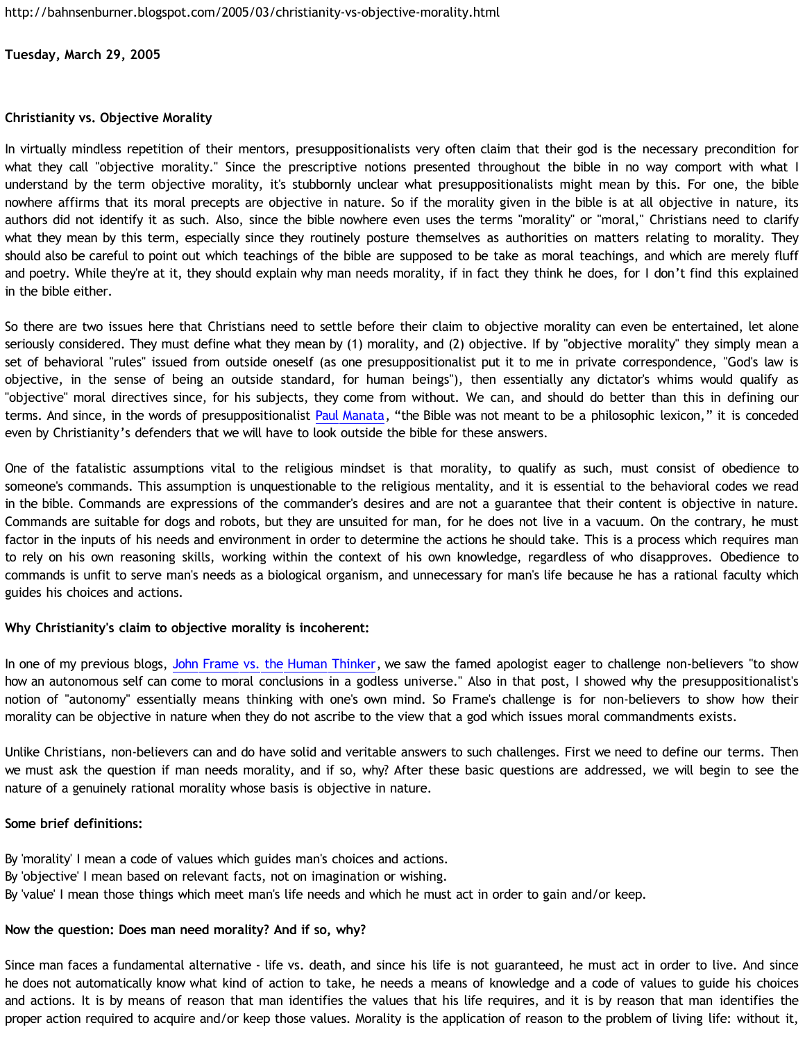## **Tuesday, March 29, 2005**

### **Christianity vs. Objective Morality**

In virtually mindless repetition of their mentors, presuppositionalists very often claim that their god is the necessary precondition for what they call "objective morality." Since the prescriptive notions presented throughout the bible in no way comport with what I understand by the term objective morality, it's stubbornly unclear what presuppositionalists might mean by this. For one, the bible nowhere affirms that its moral precepts are objective in nature. So if the morality given in the bible is at all objective in nature, its authors did not identify it as such. Also, since the bible nowhere even uses the terms "morality" or "moral," Christians need to clarify what they mean by this term, especially since they routinely posture themselves as authorities on matters relating to morality. They should also be careful to point out which teachings of the bible are supposed to be take as moral teachings, and which are merely fluff and poetry. While they're at it, they should explain why man needs morality, if in fact they think he does, for I don't find this explained in the bible either.

So there are two issues here that Christians need to settle before their claim to objective morality can even be entertained, let alone seriously considered. They must define what they mean by (1) morality, and (2) objective. If by "objective morality" they simply mean a set of behavioral "rules" issued from outside oneself (as one presuppositionalist put it to me in private correspondence, "God's law is objective, in the sense of being an outside standard, for human beings"), then essentially any dictator's whims would qualify as "objective" moral directives since, for his subjects, they come from without. We can, and should do better than this in defining our terms. And since, in the words of presuppositionalist [Paul Manata](http://www.blogger.com/comment.g?blogID=11301509&postID=111139247982123426), "the Bible was not meant to be a philosophic lexicon," it is conceded even by Christianity's defenders that we will have to look outside the bible for these answers.

One of the fatalistic assumptions vital to the religious mindset is that morality, to qualify as such, must consist of obedience to someone's commands. This assumption is unquestionable to the religious mentality, and it is essential to the behavioral codes we read in the bible. Commands are expressions of the commander's desires and are not a guarantee that their content is objective in nature. Commands are suitable for dogs and robots, but they are unsuited for man, for he does not live in a vacuum. On the contrary, he must factor in the inputs of his needs and environment in order to determine the actions he should take. This is a process which requires man to rely on his own reasoning skills, working within the context of his own knowledge, regardless of who disapproves. Obedience to commands is unfit to serve man's needs as a biological organism, and unnecessary for man's life because he has a rational faculty which guides his choices and actions.

# **Why Christianity's claim to objective morality is incoherent:**

In one of my previous blogs, [John Frame vs. the Human Thinker](http://bahnsenburner.blogspot.com/2005/03/john-frame-vs-human-thinker.html), we saw the famed apologist eager to challenge non-believers "to show how an autonomous self can come to moral conclusions in a godless universe." Also in that post, I showed why the presuppositionalist's notion of "autonomy" essentially means thinking with one's own mind. So Frame's challenge is for non-believers to show how their morality can be objective in nature when they do not ascribe to the view that a god which issues moral commandments exists.

Unlike Christians, non-believers can and do have solid and veritable answers to such challenges. First we need to define our terms. Then we must ask the question if man needs morality, and if so, why? After these basic questions are addressed, we will begin to see the nature of a genuinely rational morality whose basis is objective in nature.

#### **Some brief definitions:**

By 'morality' I mean a code of values which guides man's choices and actions. By 'objective' I mean based on relevant facts, not on imagination or wishing. By 'value' I mean those things which meet man's life needs and which he must act in order to gain and/or keep.

#### **Now the question: Does man need morality? And if so, why?**

Since man faces a fundamental alternative - life vs. death, and since his life is not guaranteed, he must act in order to live. And since he does not automatically know what kind of action to take, he needs a means of knowledge and a code of values to guide his choices and actions. It is by means of reason that man identifies the values that his life requires, and it is by reason that man identifies the proper action required to acquire and/or keep those values. Morality is the application of reason to the problem of living life: without it,